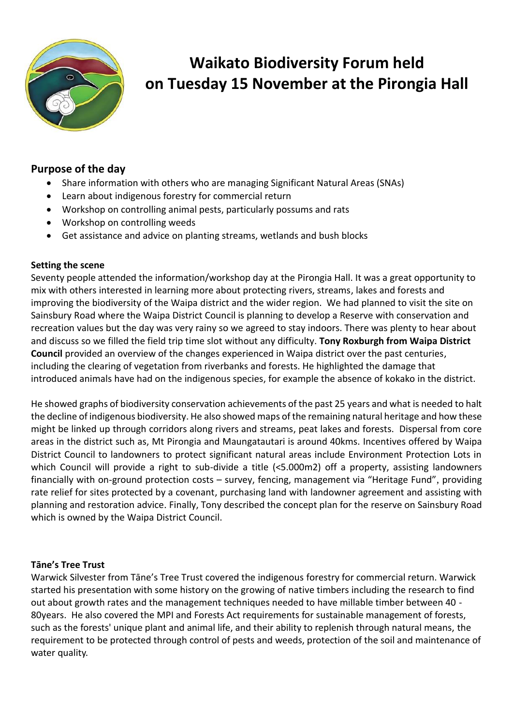

# **Waikato Biodiversity Forum held on Tuesday 15 November at the Pirongia Hall**

## **Purpose of the day**

- Share information with others who are managing Significant Natural Areas (SNAs)
- Learn about indigenous forestry for commercial return
- Workshop on controlling animal pests, particularly possums and rats
- Workshop on controlling weeds
- Get assistance and advice on planting streams, wetlands and bush blocks

### **Setting the scene**

Seventy people attended the information/workshop day at the Pirongia Hall. It was a great opportunity to mix with others interested in learning more about protecting rivers, streams, lakes and forests and improving the biodiversity of the Waipa district and the wider region. We had planned to visit the site on Sainsbury Road where the Waipa District Council is planning to develop a Reserve with conservation and recreation values but the day was very rainy so we agreed to stay indoors. There was plenty to hear about and discuss so we filled the field trip time slot without any difficulty. **Tony Roxburgh from Waipa District Council** provided an overview of the changes experienced in Waipa district over the past centuries, including the clearing of vegetation from riverbanks and forests. He highlighted the damage that introduced animals have had on the indigenous species, for example the absence of kokako in the district.

He showed graphs of biodiversity conservation achievements of the past 25 years and what is needed to halt the decline of indigenous biodiversity. He also showed maps of the remaining natural heritage and how these might be linked up through corridors along rivers and streams, peat lakes and forests. Dispersal from core areas in the district such as, Mt Pirongia and Maungatautari is around 40kms. Incentives offered by Waipa District Council to landowners to protect significant natural areas include Environment Protection Lots in which Council will provide a right to sub-divide a title (<5.000m2) off a property, assisting landowners financially with on-ground protection costs – survey, fencing, management via "Heritage Fund", providing rate relief for sites protected by a covenant, purchasing land with landowner agreement and assisting with planning and restoration advice. Finally, Tony described the concept plan for the reserve on Sainsbury Road which is owned by the Waipa District Council.

### **Tāne's Tree Trust**

Warwick Silvester from Tāne's Tree Trust covered the indigenous forestry for commercial return. Warwick started his presentation with some history on the growing of native timbers including the research to find out about growth rates and the management techniques needed to have millable timber between 40 - 80years. He also covered the MPI and Forests Act requirements for sustainable management of forests, such as the forests' unique plant and animal life, and their ability to replenish through natural means, the requirement to be protected through control of pests and weeds, protection of the soil and maintenance of water quality.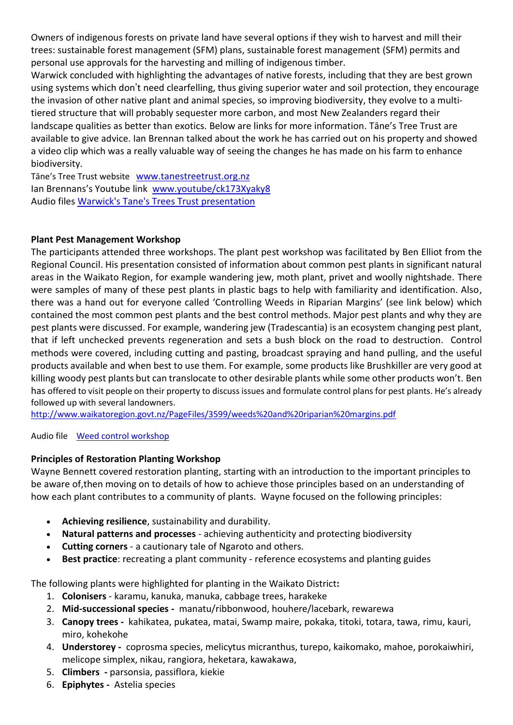Owners of indigenous forests on private land have several options if they wish to harvest and mill their trees: sustainable forest management (SFM) plans, sustainable forest management (SFM) permits and personal use approvals for the harvesting and milling of indigenous timber.

Warwick concluded with highlighting the advantages of native forests, including that they are best grown using systems which don't need clearfelling, thus giving superior water and soil protection, they encourage the invasion of other native plant and animal species, so improving biodiversity, they evolve to a multitiered structure that will probably sequester more carbon, and most New Zealanders regard their landscape qualities as better than exotics. Below are links for more information. Tāne's Tree Trust are available to give advice. Ian Brennan talked about the work he has carried out on his property and showed a video clip which was a really valuable way of seeing the changes he has made on his farm to enhance biodiversity.

Tāne's Tree Trust website [www.tanestreetrust.org.nz](http://www.tanestreetrust.org.nz/) Ian Brennans's Youtube link [www.youtube/ck173Xyaky8](http://www.youtube/ck173Xyaky8) Audio files [Warwick's Tane's Trees Trust presentation](https://drive.google.com/open?id=0B8c1Bw-3EsyVdDFQZnB0ZXNKaUU)

### **Plant Pest Management Workshop**

The participants attended three workshops. The plant pest workshop was facilitated by Ben Elliot from the Regional Council. His presentation consisted of information about common pest plants in significant natural areas in the Waikato Region, for example wandering jew, moth plant, privet and woolly nightshade. There were samples of many of these pest plants in plastic bags to help with familiarity and identification. Also, there was a hand out for everyone called 'Controlling Weeds in Riparian Margins' (see link below) which contained the most common pest plants and the best control methods. Major pest plants and why they are pest plants were discussed. For example, wandering jew (Tradescantia) is an ecosystem changing pest plant, that if left unchecked prevents regeneration and sets a bush block on the road to destruction. Control methods were covered, including cutting and pasting, broadcast spraying and hand pulling, and the useful products available and when best to use them. For example, some products like Brushkiller are very good at killing woody pest plants but can translocate to other desirable plants while some other products won't. Ben has offered to visit people on their property to discuss issues and formulate control plans for pest plants. He's already followed up with several landowners.

<http://www.waikatoregion.govt.nz/PageFiles/3599/weeds%20and%20riparian%20margins.pdf>

Audio file [Weed control workshop](https://drive.google.com/open?id=0B8c1Bw-3EsyVNUFrTHprVmxURzg)

#### **Principles of Restoration Planting Workshop**

Wayne Bennett covered restoration planting, starting with an introduction to the important principles to be aware of,then moving on to details of how to achieve those principles based on an understanding of how each plant contributes to a community of plants. Wayne focused on the following principles:

- **Achieving resilience**, sustainability and durability.
- **Natural patterns and processes** achieving authenticity and protecting biodiversity
- **Cutting corners**  a cautionary tale of Ngaroto and others.
- **Best practice**: recreating a plant community reference ecosystems and planting guides

The following plants were highlighted for planting in the Waikato District**:**

- 1. **Colonisers** karamu, kanuka, manuka, cabbage trees, harakeke
- 2. **Mid-successional species -** manatu/ribbonwood, houhere/lacebark, rewarewa
- 3. **Canopy trees -** kahikatea, pukatea, matai, Swamp maire, pokaka, titoki, totara, tawa, rimu, kauri, miro, kohekohe
- 4. **Understorey -** coprosma species, melicytus micranthus, turepo, kaikomako, mahoe, porokaiwhiri, melicope simplex, nikau, rangiora, heketara, kawakawa,
- 5. **Climbers -** parsonsia, passiflora, kiekie
- 6. **Epiphytes -** Astelia species